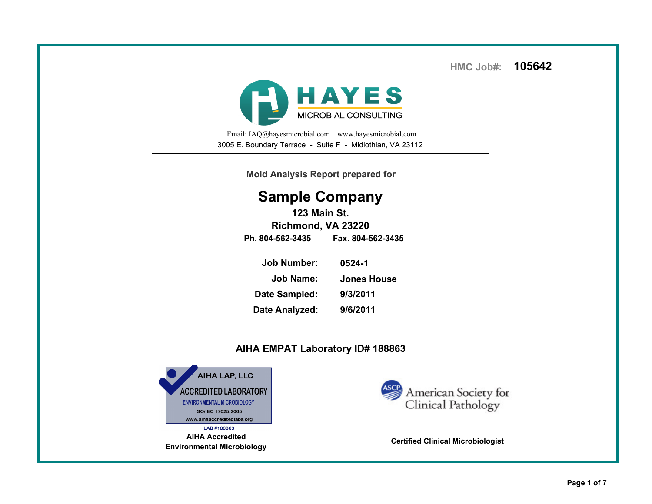**HMC Job#:105642**



Email: IAQ@hayesmicrobial.com www.hayesmicrobial.com3005 E. Boundary Terrace - Suite F - Midlothian, VA 23112

**Mold Analysis Report prepared for**

## **Sample Company**

**123 Main St. Richmond, VA 23220Ph. 804-562-3435 Fax. 804-562-3435**

| <b>Job Number:</b> | 0524-1             |
|--------------------|--------------------|
| <b>Job Name:</b>   | <b>Jones House</b> |
| Date Sampled:      | 9/3/2011           |
| Date Analyzed:     | 9/6/2011           |
|                    |                    |

## **AIHA EMPAT Laboratory ID# 188863**



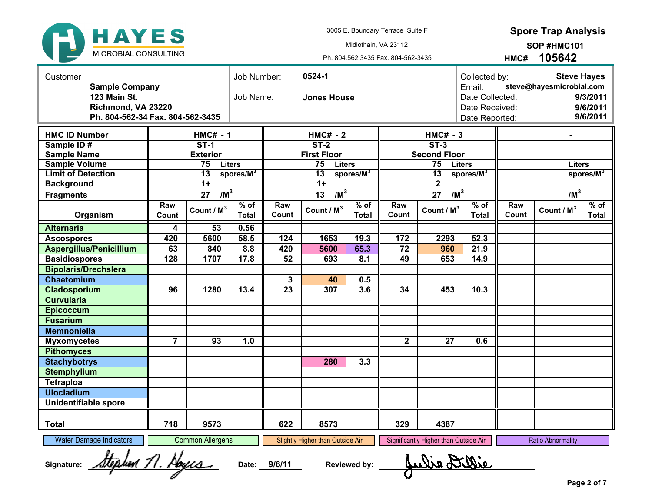

 **Spore Trap Analysis**

Ph. 804.562.3435 Fax. 804-562-3435Midlothain, VA 23112

**HMC#105642SOP #HMC101**

| Customer<br><b>Sample Company</b><br>123 Main St.<br>Job Name:<br>Richmond, VA 23220<br>Ph. 804-562-34 Fax. 804-562-3435 |                | 0524-1<br>Job Number:<br><b>Jones House</b> |                        |                 |                                  |                        | <b>Steve Hayes</b><br>Collected by:<br>steve@hayesmicrobial.com<br>Email:<br>Date Collected:<br>9/3/2011<br>9/6/2011<br>Date Received:<br>9/6/2011<br>Date Reported: |                                       |                        |              |                          |                       |
|--------------------------------------------------------------------------------------------------------------------------|----------------|---------------------------------------------|------------------------|-----------------|----------------------------------|------------------------|----------------------------------------------------------------------------------------------------------------------------------------------------------------------|---------------------------------------|------------------------|--------------|--------------------------|-----------------------|
| <b>HMC ID Number</b>                                                                                                     |                | $HMC# - 1$                                  |                        | $HMC# - 2$      |                                  |                        | $HMC# - 3$                                                                                                                                                           |                                       |                        |              |                          |                       |
| Sample ID#                                                                                                               |                | $ST-1$                                      |                        | $ST-2$          |                                  |                        | $ST-3$                                                                                                                                                               |                                       |                        |              |                          |                       |
| <b>Sample Name</b>                                                                                                       |                | <b>Exterior</b>                             |                        |                 | <b>First Floor</b>               |                        | <b>Second Floor</b>                                                                                                                                                  |                                       |                        |              |                          |                       |
| <b>Sample Volume</b>                                                                                                     |                | 75<br><b>Liters</b>                         |                        |                 | 75<br><b>Liters</b>              |                        |                                                                                                                                                                      | 75                                    | <b>Liters</b>          |              | <b>Liters</b>            |                       |
| <b>Limit of Detection</b>                                                                                                |                | $\overline{13}$                             | $s$ pores/ $M^3$       |                 | $\overline{13}$                  | spores/M <sup>3</sup>  |                                                                                                                                                                      | $\overline{13}$                       | spores/ $M^3$          |              |                          | spores/M <sup>3</sup> |
| <b>Background</b>                                                                                                        |                | $\overline{1+}$                             |                        |                 | $\overline{1+}$                  |                        |                                                                                                                                                                      | $\overline{2}$                        |                        |              |                          |                       |
| <b>Fragments</b>                                                                                                         |                | $/M^3$<br>27                                |                        |                 | $/M^3$<br>13                     |                        |                                                                                                                                                                      | $/M^3$<br>27                          |                        |              | $/M^3$                   |                       |
| Organism                                                                                                                 | Raw<br>Count   | Count / M <sup>3</sup>                      | $%$ of<br><b>Total</b> | Raw<br>Count    | Count / M <sup>3</sup>           | $%$ of<br><b>Total</b> | Raw<br>Count                                                                                                                                                         | Count / M <sup>3</sup>                | $%$ of<br><b>Total</b> | Raw<br>Count | Count / M <sup>3</sup>   | $%$ of<br>Total       |
| <b>Alternaria</b>                                                                                                        | 4              | 53                                          | 0.56                   |                 |                                  |                        |                                                                                                                                                                      |                                       |                        |              |                          |                       |
| <b>Ascospores</b>                                                                                                        | 420            | 5600                                        | 58.5                   | 124             | 1653                             | 19.3                   | 172                                                                                                                                                                  | 2293                                  | 52.3                   |              |                          |                       |
| <b>Aspergillus/Penicillium</b>                                                                                           | 63             | 840                                         | 8.8                    | 420             | 5600                             | 65.3                   | $\overline{72}$                                                                                                                                                      | 960                                   | 21.9                   |              |                          |                       |
| <b>Basidiospores</b>                                                                                                     | 128            | 1707                                        | 17.8                   | 52              | 693                              | 8.1                    | 49                                                                                                                                                                   | 653                                   | 14.9                   |              |                          |                       |
| <b>Bipolaris/Drechslera</b>                                                                                              |                |                                             |                        |                 |                                  |                        |                                                                                                                                                                      |                                       |                        |              |                          |                       |
| Chaetomium                                                                                                               |                |                                             |                        | 3               | 40                               | 0.5                    |                                                                                                                                                                      |                                       |                        |              |                          |                       |
| Cladosporium                                                                                                             | 96             | 1280                                        | 13.4                   | $\overline{23}$ | 307                              | 3.6                    | 34                                                                                                                                                                   | 453                                   | 10.3                   |              |                          |                       |
| <b>Curvularia</b>                                                                                                        |                |                                             |                        |                 |                                  |                        |                                                                                                                                                                      |                                       |                        |              |                          |                       |
| <b>Epicoccum</b>                                                                                                         |                |                                             |                        |                 |                                  |                        |                                                                                                                                                                      |                                       |                        |              |                          |                       |
| <b>Fusarium</b>                                                                                                          |                |                                             |                        |                 |                                  |                        |                                                                                                                                                                      |                                       |                        |              |                          |                       |
| <b>Memnoniella</b>                                                                                                       |                |                                             |                        |                 |                                  |                        |                                                                                                                                                                      |                                       |                        |              |                          |                       |
| <b>Myxomycetes</b>                                                                                                       | $\overline{7}$ | 93                                          | 1.0                    |                 |                                  |                        | $\overline{\mathbf{2}}$                                                                                                                                              | 27                                    | 0.6                    |              |                          |                       |
| <b>Pithomyces</b>                                                                                                        |                |                                             |                        |                 |                                  |                        |                                                                                                                                                                      |                                       |                        |              |                          |                       |
| <b>Stachybotrys</b>                                                                                                      |                |                                             |                        |                 | 280                              | 3.3                    |                                                                                                                                                                      |                                       |                        |              |                          |                       |
| <b>Stemphylium</b>                                                                                                       |                |                                             |                        |                 |                                  |                        |                                                                                                                                                                      |                                       |                        |              |                          |                       |
| <b>Tetraploa</b>                                                                                                         |                |                                             |                        |                 |                                  |                        |                                                                                                                                                                      |                                       |                        |              |                          |                       |
| <b>Ulocladium</b>                                                                                                        |                |                                             |                        |                 |                                  |                        |                                                                                                                                                                      |                                       |                        |              |                          |                       |
| <b>Unidentifiable spore</b>                                                                                              |                |                                             |                        |                 |                                  |                        |                                                                                                                                                                      |                                       |                        |              |                          |                       |
|                                                                                                                          |                |                                             |                        |                 |                                  |                        |                                                                                                                                                                      |                                       |                        |              |                          |                       |
| <b>Total</b>                                                                                                             | 718            | 9573                                        |                        | 622             | 8573                             |                        | 329                                                                                                                                                                  | 4387                                  |                        |              |                          |                       |
| <b>Water Damage Indicators</b>                                                                                           |                | <b>Common Allergens</b>                     |                        |                 | Slightly Higher than Outside Air |                        |                                                                                                                                                                      | Significantly Higher than Outside Air |                        |              | <b>Ratio Abnormality</b> |                       |
| teation 11. Hoyca<br>Aulie Di<br>9/6/11<br><b>Reviewed by:</b><br>Signature:<br>Date:                                    |                |                                             |                        |                 |                                  |                        |                                                                                                                                                                      |                                       |                        |              |                          |                       |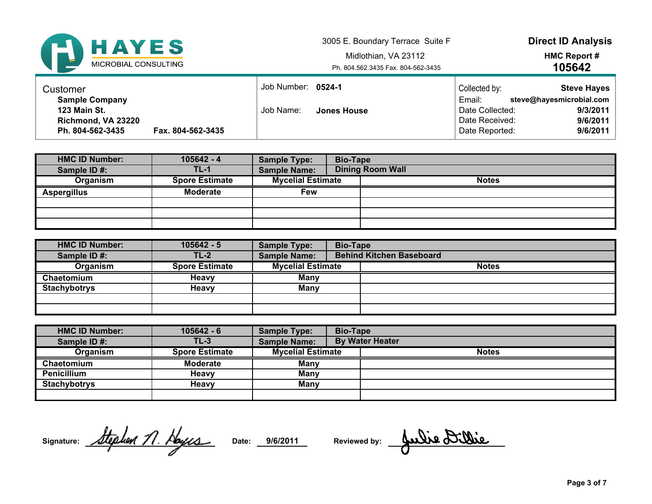

 3005 E. Boundary Terrace Suite FMidlothian, VA 23112

Ph. 804.562.3435 Fax. 804-562-3435

**Direct ID Analysis**

**HMC Report #105642**

| Customer                                     |                   | Job Number: 0524-1 |             | Collected by:                    | <b>Steve Hayes</b>                   |
|----------------------------------------------|-------------------|--------------------|-------------|----------------------------------|--------------------------------------|
| <b>Sample Company</b><br><b>123 Main St.</b> |                   | Job Name:          | Jones House | Email:<br>Date Collected:        | steve@hayesmicrobial.com<br>9/3/2011 |
| Richmond, VA 23220<br>Ph. 804-562-3435       | Fax. 804-562-3435 |                    |             | Date Received:<br>Date Reported: | 9/6/2011<br>9/6/2011                 |

| <b>HMC ID Number:</b> | $105642 - 4$          | <b>Sample Type:</b>      | <b>Bio-Tape</b> |                         |
|-----------------------|-----------------------|--------------------------|-----------------|-------------------------|
| Sample ID#:           | TL-1                  | <b>Sample Name:</b>      |                 | <b>Dining Room Wall</b> |
| Organism              | <b>Spore Estimate</b> | <b>Mycelial Estimate</b> |                 | <b>Notes</b>            |
| <b>Aspergillus</b>    | <b>Moderate</b>       | Few                      |                 |                         |
|                       |                       |                          |                 |                         |
|                       |                       |                          |                 |                         |
|                       |                       |                          |                 |                         |

| <b>HMC ID Number:</b> | $105642 - 5$          | <b>Sample Type:</b>      | <b>Bio-Tape</b> |                                 |
|-----------------------|-----------------------|--------------------------|-----------------|---------------------------------|
| Sample ID#:           | $TL-2$                | <b>Sample Name:</b>      |                 | <b>Behind Kitchen Baseboard</b> |
| Organism              | <b>Spore Estimate</b> | <b>Mycelial Estimate</b> |                 | <b>Notes</b>                    |
| Chaetomium            | <b>Heavy</b>          | Many                     |                 |                                 |
| <b>Stachybotrys</b>   | <b>Heavy</b>          | <b>Many</b>              |                 |                                 |
|                       |                       |                          |                 |                                 |
|                       |                       |                          |                 |                                 |

| <b>HMC ID Number:</b> | $105642 - 6$          | <b>Sample Type:</b>      | <b>Bio-Tape</b> |                        |
|-----------------------|-----------------------|--------------------------|-----------------|------------------------|
| Sample ID#:           | $TL-3$                | <b>Sample Name:</b>      |                 | <b>By Water Heater</b> |
| Organism              | <b>Spore Estimate</b> | <b>Mycelial Estimate</b> |                 | <b>Notes</b>           |
| Chaetomium            | <b>Moderate</b>       | Many                     |                 |                        |
| <b>Penicillium</b>    | Heavv                 | Many                     |                 |                        |
| <b>Stachybotrys</b>   | Heavv                 | Many                     |                 |                        |
|                       |                       |                          |                 |                        |

**Signature: Date: 9/6/2011**

Date: 9/6/2011 Reviewed by: Aulie Dillie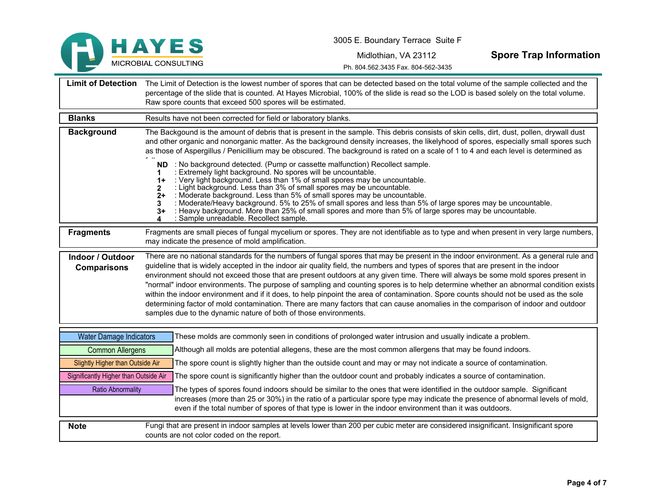

Midlothian, VA 23112

**Spore Trap Information**

Ph. 804.562.3435 Fax. 804-562-3435

| <b>Limit of Detection</b>                     | The Limit of Detection is the lowest number of spores that can be detected based on the total volume of the sample collected and the<br>percentage of the slide that is counted. At Hayes Microbial, 100% of the slide is read so the LOD is based solely on the total volume.<br>Raw spore counts that exceed 500 spores will be estimated.                                                                                                                                                                                                                                                                                                                                                                                                                                                                                                                                                             |  |  |  |
|-----------------------------------------------|----------------------------------------------------------------------------------------------------------------------------------------------------------------------------------------------------------------------------------------------------------------------------------------------------------------------------------------------------------------------------------------------------------------------------------------------------------------------------------------------------------------------------------------------------------------------------------------------------------------------------------------------------------------------------------------------------------------------------------------------------------------------------------------------------------------------------------------------------------------------------------------------------------|--|--|--|
| <b>Blanks</b>                                 | Results have not been corrected for field or laboratory blanks.                                                                                                                                                                                                                                                                                                                                                                                                                                                                                                                                                                                                                                                                                                                                                                                                                                          |  |  |  |
| <b>Background</b>                             | The Backgound is the amount of debris that is present in the sample. This debris consists of skin cells, dirt, dust, pollen, drywall dust<br>and other organic and nonorganic matter. As the background density increases, the likelyhood of spores, especially small spores such<br>as those of Aspergillus / Penicillium may be obscured. The background is rated on a scale of 1 to 4 and each level is determined as                                                                                                                                                                                                                                                                                                                                                                                                                                                                                 |  |  |  |
|                                               | ND : No background detected. (Pump or cassette malfunction) Recollect sample.<br>: Extremely light background. No spores will be uncountable.<br>: Very light background. Less than 1% of small spores may be uncountable.<br>$1+$<br>: Light background. Less than 3% of small spores may be uncountable.<br>: Moderate background. Less than 5% of small spores may be uncountable.<br>$2+$<br>: Moderate/Heavy background. 5% to 25% of small spores and less than 5% of large spores may be uncountable.<br>: Heavy background. More than 25% of small spores and more than 5% of large spores may be uncountable.<br>3+<br>: Sample unreadable. Recollect sample.                                                                                                                                                                                                                                   |  |  |  |
| <b>Fragments</b>                              | Fragments are small pieces of fungal mycelium or spores. They are not identifiable as to type and when present in very large numbers,<br>may indicate the presence of mold amplification.                                                                                                                                                                                                                                                                                                                                                                                                                                                                                                                                                                                                                                                                                                                |  |  |  |
| <b>Indoor / Outdoor</b><br><b>Comparisons</b> | There are no national standards for the numbers of fungal spores that may be present in the indoor environment. As a general rule and<br>guideline that is widely accepted in the indoor air quality field, the numbers and types of spores that are present in the indoor<br>environment should not exceed those that are present outdoors at any given time. There will always be some mold spores present in<br>"normal" indoor environments. The purpose of sampling and counting spores is to help determine whether an abnormal condition exists<br>within the indoor environment and if it does, to help pinpoint the area of contamination. Spore counts should not be used as the sole<br>determining factor of mold contamination. There are many factors that can cause anomalies in the comparison of indoor and outdoor<br>samples due to the dynamic nature of both of those environments. |  |  |  |
| <b>Water Damage Indicators</b>                | These molds are commonly seen in conditions of prolonged water intrusion and usually indicate a problem.                                                                                                                                                                                                                                                                                                                                                                                                                                                                                                                                                                                                                                                                                                                                                                                                 |  |  |  |
| <b>Common Allergens</b>                       | Although all molds are potential allegens, these are the most common allergens that may be found indoors.                                                                                                                                                                                                                                                                                                                                                                                                                                                                                                                                                                                                                                                                                                                                                                                                |  |  |  |
| Slightly Higher than Outside Air              | The spore count is slightly higher than the outside count and may or may not indicate a source of contamination.                                                                                                                                                                                                                                                                                                                                                                                                                                                                                                                                                                                                                                                                                                                                                                                         |  |  |  |
| Significantly Higher than Outside Air         | The spore count is significantly higher than the outdoor count and probably indicates a source of contamination.                                                                                                                                                                                                                                                                                                                                                                                                                                                                                                                                                                                                                                                                                                                                                                                         |  |  |  |
| <b>Ratio Abnormality</b>                      | The types of spores found indoors should be similar to the ones that were identified in the outdoor sample. Significant<br>increases (more than 25 or 30%) in the ratio of a particular spore type may indicate the presence of abnormal levels of mold,<br>even if the total number of spores of that type is lower in the indoor environment than it was outdoors.                                                                                                                                                                                                                                                                                                                                                                                                                                                                                                                                     |  |  |  |
| <b>Note</b>                                   | Fungi that are present in indoor samples at levels lower than 200 per cubic meter are considered insignificant. Insignificant spore<br>counts are not color coded on the report.                                                                                                                                                                                                                                                                                                                                                                                                                                                                                                                                                                                                                                                                                                                         |  |  |  |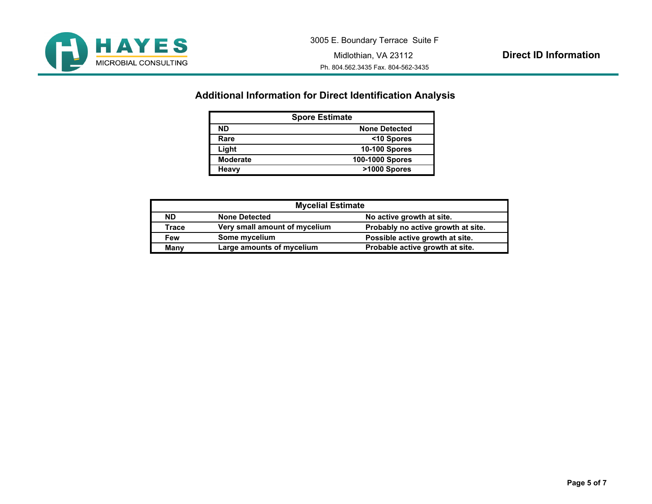

## **Additional Information for Direct Identification Analysis**

| <b>Spore Estimate</b> |                      |  |
|-----------------------|----------------------|--|
| <b>ND</b>             | <b>None Detected</b> |  |
| Rare                  | <10 Spores           |  |
| Light                 | <b>10-100 Spores</b> |  |
| <b>Moderate</b>       | 100-1000 Spores      |  |
| Heavy                 | >1000 Spores         |  |

| <b>Mycelial Estimate</b> |                               |                                    |  |
|--------------------------|-------------------------------|------------------------------------|--|
| <b>ND</b>                | <b>None Detected</b>          | No active growth at site.          |  |
| Trace                    | Very small amount of mycelium | Probably no active growth at site. |  |
| Few                      | Some mycelium                 | Possible active growth at site.    |  |
| Many                     | Large amounts of mycelium     | Probable active growth at site.    |  |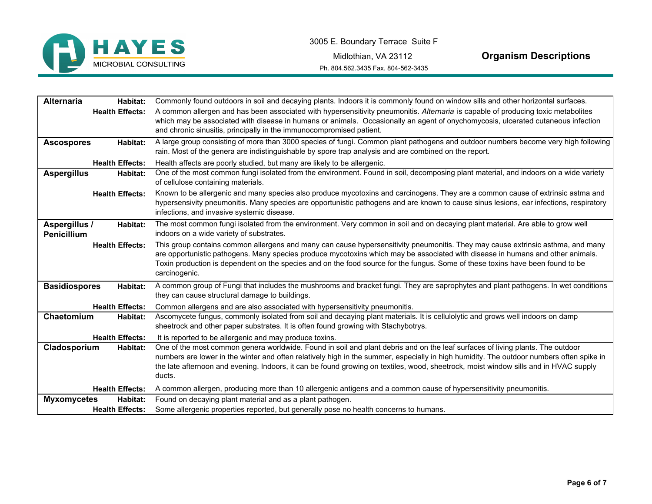

Midlothian, VA 23112

**Organism Descriptions**

Ph. 804.562.3435 Fax. 804-562-3435

| <b>Alternaria</b><br>Habitat:    | Commonly found outdoors in soil and decaying plants. Indoors it is commonly found on window sills and other horizontal surfaces.         |
|----------------------------------|------------------------------------------------------------------------------------------------------------------------------------------|
| <b>Health Effects:</b>           | A common allergen and has been associated with hypersensitivity pneumonitis. Alternaria is capable of producing toxic metabolites        |
|                                  | which may be associated with disease in humans or animals. Occasionally an agent of onychomycosis, ulcerated cutaneous infection         |
|                                  | and chronic sinusitis, principally in the immunocompromised patient.                                                                     |
| Habitat:<br><b>Ascospores</b>    | A large group consisting of more than 3000 species of fungi. Common plant pathogens and outdoor numbers become very high following       |
|                                  | rain. Most of the genera are indistinguishable by spore trap analysis and are combined on the report.                                    |
| <b>Health Effects:</b>           | Health affects are poorly studied, but many are likely to be allergenic.                                                                 |
| <b>Aspergillus</b><br>Habitat:   | One of the most common fungi isolated from the environment. Found in soil, decomposing plant material, and indoors on a wide variety     |
|                                  | of cellulose containing materials.                                                                                                       |
| <b>Health Effects:</b>           | Known to be allergenic and many species also produce mycotoxins and carcinogens. They are a common cause of extrinsic astma and          |
|                                  | hypersensivity pneumonitis. Many species are opportunistic pathogens and are known to cause sinus lesions, ear infections, respiratory   |
|                                  | infections, and invasive systemic disease.                                                                                               |
| Aspergillus /<br>Habitat:        | The most common fungi isolated from the environment. Very common in soil and on decaying plant material. Are able to grow well           |
| Penicillium                      | indoors on a wide variety of substrates.                                                                                                 |
| <b>Health Effects:</b>           | This group contains common allergens and many can cause hypersensitivity pneumonitis. They may cause extrinsic asthma, and many          |
|                                  | are opportunistic pathogens. Many species produce mycotoxins which may be associated with disease in humans and other animals.           |
|                                  | Toxin production is dependent on the species and on the food source for the fungus. Some of these toxins have been found to be           |
|                                  | carcinogenic.                                                                                                                            |
| <b>Basidiospores</b><br>Habitat: | A common group of Fungi that includes the mushrooms and bracket fungi. They are saprophytes and plant pathogens. In wet conditions       |
|                                  | they can cause structural damage to buildings.                                                                                           |
| <b>Health Effects:</b>           | Common allergens and are also associated with hypersensitivity pneumonitis.                                                              |
| Chaetomium<br>Habitat:           | Ascomycete fungus, commonly isolated from soil and decaying plant materials. It is cellulolytic and grows well indoors on damp           |
|                                  | sheetrock and other paper substrates. It is often found growing with Stachybotrys.                                                       |
| <b>Health Effects:</b>           | It is reported to be allergenic and may produce toxins.                                                                                  |
| Cladosporium<br>Habitat:         | One of the most common genera worldwide. Found in soil and plant debris and on the leaf surfaces of living plants. The outdoor           |
|                                  | numbers are lower in the winter and often relatively high in the summer, especially in high humidity. The outdoor numbers often spike in |
|                                  | the late afternoon and evening. Indoors, it can be found growing on textiles, wood, sheetrock, moist window sills and in HVAC supply     |
|                                  | ducts.                                                                                                                                   |
| <b>Health Effects:</b>           | A common allergen, producing more than 10 allergenic antigens and a common cause of hypersensitivity pneumonitis.                        |
| <b>Myxomycetes</b><br>Habitat:   | Found on decaying plant material and as a plant pathogen.                                                                                |
| <b>Health Effects:</b>           | Some allergenic properties reported, but generally pose no health concerns to humans.                                                    |